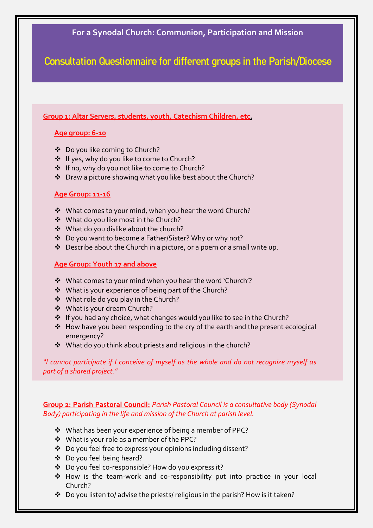## **For a Synodal Church: Communion, Participation and Mission**

1

**Consultation Questionnaire for different groups in the Parish/Diocese**

**Group 1: Altar Servers, students, youth, Catechism Children, etc.** 

## **Age group: 6-10**

- Do you like coming to Church?
- ❖ If yes, why do you like to come to Church?
- ❖ If no, why do you not like to come to Church?
- Draw a picture showing what you like best about the Church?

## **Age Group: 11-16**

- ◆ What comes to your mind, when you hear the word Church?
- ◆ What do you like most in the Church?
- What do you dislike about the church?
- Do you want to become a Father/Sister? Why or why not?
- Describe about the Church in a picture, or a poem or a small write up.

## **Age Group: Youth 17 and above**

- What comes to your mind when you hear the word 'Church'?
- What is your experience of being part of the Church?
- ◆ What role do you play in the Church?
- What is your dream Church?
- ❖ If you had any choice, what changes would you like to see in the Church?
- $\triangle$  How have you been responding to the cry of the earth and the present ecological emergency?
- What do you think about priests and religious in the church?

*"I cannot participate if I conceive of myself as the whole and do not recognize myself as part of a shared project."* 

**Group 2: Parish Pastoral Council:** *Parish Pastoral Council is a consultative body (Synodal Body) participating in the life and mission of the Church at parish level.* 

- ❖ What has been your experience of being a member of PPC?
- What is your role as a member of the PPC?
- Do you feel free to express your opinions including dissent?
- Do you feel being heard?
- Do you feel co-responsible? How do you express it?
- How is the team-work and co-responsibility put into practice in your local Church?
- Do you listen to/ advise the priests/ religious in the parish? How is it taken?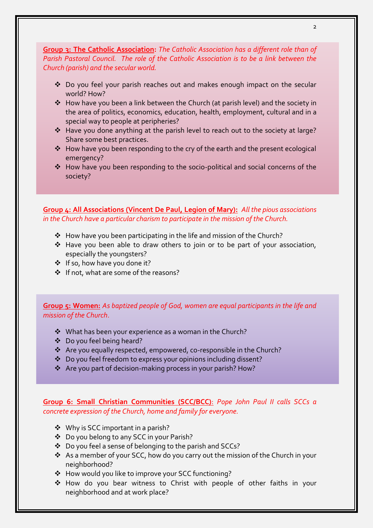**Group 3: The Catholic Association:** *The Catholic Association has a different role than of Parish Pastoral Council. The role of the Catholic Association is to be a link between the Church (parish) and the secular world.* 

- Do you feel your parish reaches out and makes enough impact on the secular world? How?
- How have you been a link between the Church (at parish level) and the society in the area of politics, economics, education, health, employment, cultural and in a special way to people at peripheries?
- Have you done anything at the parish level to reach out to the society at large? Share some best practices.
- \* How have you been responding to the cry of the earth and the present ecological emergency?
- How have you been responding to the socio-political and social concerns of the society?

**Group 4: All Associations (Vincent De Paul, Legion of Mary):** *All the pious associations in the Church have a particular charism to participate in the mission of the Church.*

- $\cdot$  How have you been participating in the life and mission of the Church?
- \* Have you been able to draw others to join or to be part of your association, especially the youngsters?
- ❖ If so, how have you done it?
- ❖ If not, what are some of the reasons?

**Group 5: Women:** *As baptized people of God, women are equal participants in the life and mission of the Church*.

- ❖ What has been your experience as a woman in the Church?
- Do you feel being heard?
- Are you equally respected, empowered, co-responsible in the Church?
- Do you feel freedom to express your opinions including dissent?
- Are you part of decision-making process in your parish? How?

**Group 6: Small Christian Communities (SCC/BCC)**: *Pope John Paul II calls SCCs a concrete expression of the Church, home and family for everyone.* 

- ❖ Why is SCC important in a parish?
- Do you belong to any SCC in your Parish?
- Do you feel a sense of belonging to the parish and SCCs?
- As a member of your SCC, how do you carry out the mission of the Church in your neighborhood?
- ❖ How would you like to improve your SCC functioning?
- How do you bear witness to Christ with people of other faiths in your neighborhood and at work place?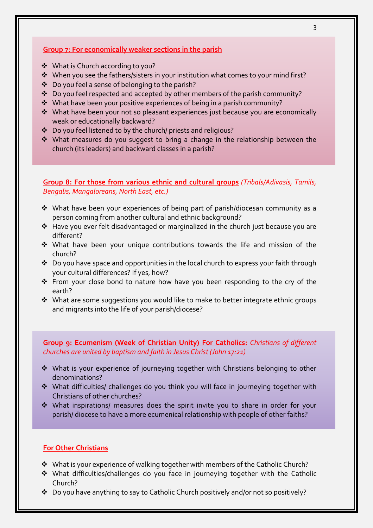## **Group 7: For economically weaker sections in the parish**

- What is Church according to you?
- When you see the fathers/sisters in your institution what comes to your mind first?
- $\cdot$  Do you feel a sense of belonging to the parish?
- $\cdot$  Do you feel respected and accepted by other members of the parish community?
- What have been your positive experiences of being in a parish community?
- What have been your not so pleasant experiences just because you are economically weak or educationally backward?
- Do you feel listened to by the church/ priests and religious?
- What measures do you suggest to bring a change in the relationship between the church (its leaders) and backward classes in a parish?

**Group 8: For those from various ethnic and cultural groups** *(Tribals/Adivasis, Tamils, Bengalis, Mangaloreans, North East, etc.)*

- What have been your experiences of being part of parish/diocesan community as a person coming from another cultural and ethnic background?
- \* Have you ever felt disadvantaged or marginalized in the church just because you are different?
- What have been your unique contributions towards the life and mission of the church?
- $\cdot$  Do you have space and opportunities in the local church to express your faith through your cultural differences? If yes, how?
- \* From your close bond to nature how have you been responding to the cry of the earth?
- \* What are some suggestions you would like to make to better integrate ethnic groups and migrants into the life of your parish/diocese?

**Group 9: Ecumenism (Week of Christian Unity) For Catholics:** *Christians of different churches are united by baptism and faith in Jesus Christ (John 17:21)* 

- What is your experience of journeying together with Christians belonging to other denominations?
- What difficulties/ challenges do you think you will face in journeying together with Christians of other churches?
- What inspirations/ measures does the spirit invite you to share in order for your parish/ diocese to have a more ecumenical relationship with people of other faiths?

#### **For Other Christians**

- What is your experience of walking together with members of the Catholic Church?
- What difficulties/challenges do you face in journeying together with the Catholic Church?
- Do you have anything to say to Catholic Church positively and/or not so positively?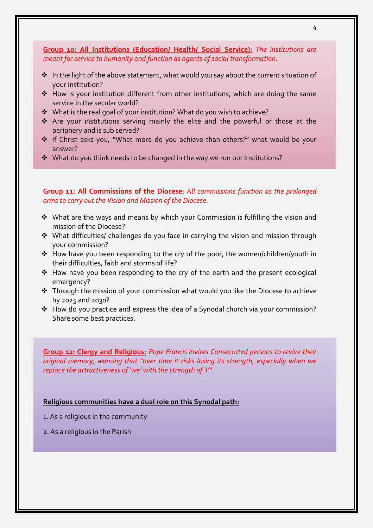**Group 10: All Institutions (Education/ Health/ Social Service):** *The institutions are meant for service to humanity and function as agents of social transformation.*

- $\cdot$  In the light of the above statement, what would you say about the current situation of your institution?
- How is your institution different from other institutions, which are doing the same service in the secular world?
- What is the real goal of your institution? What do you wish to achieve?
- Are your institutions serving mainly the elite and the powerful or those at the periphery and is sub served?
- ❖ If Christ asks you, "What more do you achieve than others?" what would be your answer?
- What do you think needs to be changed in the way we run our Institutions?

**Group 11: All Commissions of the Diocese**: *All commissions function as the prolonged arms to carry out the Vision and Mission of the Diocese.*

- What are the ways and means by which your Commission is fulfilling the vision and mission of the Diocese?
- ◆ What difficulties/ challenges do you face in carrying the vision and mission through your commission?
- How have you been responding to the cry of the poor, the women/children/youth in their difficulties, faith and storms of life?
- How have you been responding to the cry of the earth and the present ecological emergency?
- Through the mission of your commission what would you like the Diocese to achieve by 2025 and 2030?
- How do you practice and express the idea of a Synodal church via your commission? Share some best practices.

**Group 12: Clergy and Religious:** *Pope Francis invites Consecrated persons to revive their original memory, warning that "over time it risks losing its strength, especially when we replace the attractiveness of 'we' with the strength of 'I'".*

#### **Religious communities have a dual role on this Synodal path:**

- 1. As a religious in the community
- 2. As a religious in the Parish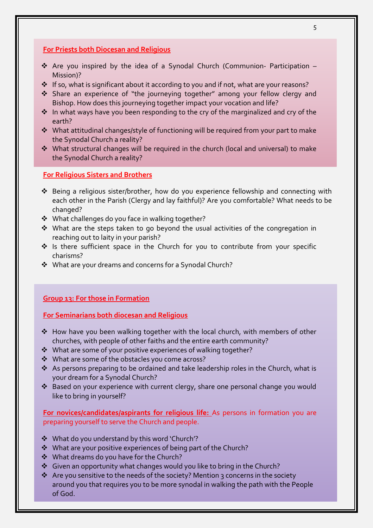## **For Priests both Diocesan and Religious**

- Are you inspired by the idea of a Synodal Church (Communion- Participation Mission)?
- ❖ If so, what is significant about it according to you and if not, what are your reasons?
- Share an experience of "the journeying together" among your fellow clergy and Bishop. How does this journeying together impact your vocation and life?
- ❖ In what ways have you been responding to the cry of the marginalized and cry of the earth?
- $\cdot$  What attitudinal changes/style of functioning will be required from your part to make the Synodal Church a reality?
- What structural changes will be required in the church (local and universal) to make the Synodal Church a reality?

#### **For Religious Sisters and Brothers**

- Being a religious sister/brother, how do you experience fellowship and connecting with each other in the Parish (Clergy and lay faithful)? Are you comfortable? What needs to be changed?
- What challenges do you face in walking together?
- $\cdot$  What are the steps taken to go beyond the usual activities of the congregation in reaching out to laity in your parish?
- ◆ Is there sufficient space in the Church for you to contribute from your specific charisms?
- What are your dreams and concerns for a Synodal Church?

## **Group 13: For those in Formation**

#### **For Seminarians both diocesan and Religious**

- ◆ How have you been walking together with the local church, with members of other churches, with people of other faiths and the entire earth community?
- What are some of your positive experiences of walking together?
- What are some of the obstacles you come across?
- $\cdot$  As persons preparing to be ordained and take leadership roles in the Church, what is your dream for a Synodal Church?
- Based on your experience with current clergy, share one personal change you would like to bring in yourself?

**For novices/candidates/aspirants for religious life:** As persons in formation you are preparing yourself to serve the Church and people.

- What do you understand by this word 'Church'?
- What are your positive experiences of being part of the Church?
- ◆ What dreams do you have for the Church?
- $\triangleq$  Given an opportunity what changes would you like to bring in the Church?
- $\cdot$  Are you sensitive to the needs of the society? Mention 3 concerns in the society around you that requires you to be more synodal in walking the path with the People of God.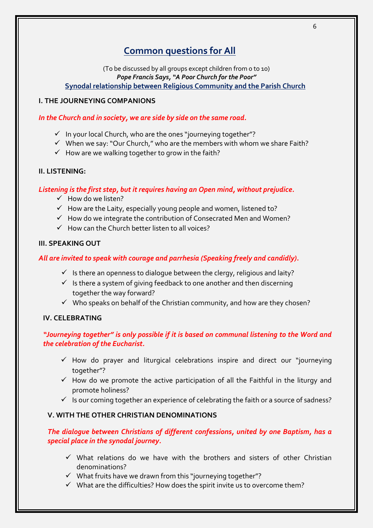# **Common questions for All**

(To be discussed by all groups except children from 0 to 10) *Pope Francis Says, "A Poor Church for the Poor"* **Synodal relationship between Religious Community and the Parish Church**

## **I. THE JOURNEYING COMPANIONS**

#### *In the Church and in society, we are side by side on the same road.*

- $\checkmark$  In your local Church, who are the ones "journeying together"?
- $\checkmark$  When we say: "Our Church," who are the members with whom we share Faith?
- $\checkmark$  How are we walking together to grow in the faith?

#### **II. LISTENING:**

## *Listening is the first step, but it requires having an Open mind, without prejudice.*

- $\checkmark$  How do we listen?
- $\checkmark$  How are the Laity, especially young people and women, listened to?
- $\checkmark$  How do we integrate the contribution of Consecrated Men and Women?
- $\checkmark$  How can the Church better listen to all voices?

#### **III. SPEAKING OUT**

## *All are invited to speak with courage and parrhesia (Speaking freely and candidly).*

- $\checkmark$  Is there an openness to dialogue between the clergy, religious and laity?
- $\checkmark$  Is there a system of giving feedback to one another and then discerning together the way forward?
- $\checkmark$  Who speaks on behalf of the Christian community, and how are they chosen?

## **IV. CELEBRATING**

## *"Journeying together" is only possible if it is based on communal listening to the Word and the celebration of the Eucharist.*

- $\checkmark$  How do prayer and liturgical celebrations inspire and direct our "journeying together"?
- $\checkmark$  How do we promote the active participation of all the Faithful in the liturgy and promote holiness?
- $\checkmark$  Is our coming together an experience of celebrating the faith or a source of sadness?

## **V. WITH THE OTHER CHRISTIAN DENOMINATIONS**

## *The dialogue between Christians of different confessions, united by one Baptism, has a special place in the synodal journey.*

- $\checkmark$  What relations do we have with the brothers and sisters of other Christian denominations?
- $\checkmark$  What fruits have we drawn from this "journeying together"?
- $\checkmark$  What are the difficulties? How does the spirit invite us to overcome them?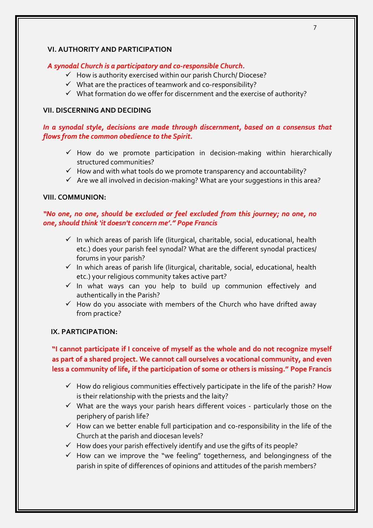#### **VI. AUTHORITY AND PARTICIPATION**

#### *A synodal Church is a participatory and co-responsible Church.*

- $\checkmark$  How is authority exercised within our parish Church/ Diocese?
- $\checkmark$  What are the practices of teamwork and co-responsibility?
- $\checkmark$  What formation do we offer for discernment and the exercise of authority?

#### **VII. DISCERNING AND DECIDING**

## *In a synodal style, decisions are made through discernment, based on a consensus that flows from the common obedience to the Spirit.*

- $\checkmark$  How do we promote participation in decision-making within hierarchically structured communities?
- $\checkmark$  How and with what tools do we promote transparency and accountability?
- $\checkmark$  Are we all involved in decision-making? What are your suggestions in this area?

#### **VIII. COMMUNION:**

## *"No one, no one, should be excluded or feel excluded from this journey; no one, no one, should think 'it doesn't concern me'." Pope Francis*

- $\checkmark$  In which areas of parish life (liturgical, charitable, social, educational, health etc.) does your parish feel synodal? What are the different synodal practices/ forums in your parish?
- $\checkmark$  In which areas of parish life (liturgical, charitable, social, educational, health etc.) your religious community takes active part?
- $\checkmark$  In what ways can you help to build up communion effectively and authentically in the Parish?
- $\checkmark$  How do you associate with members of the Church who have drifted away from practice?

#### **IX. PARTICIPATION:**

## **"I cannot participate if I conceive of myself as the whole and do not recognize myself as part of a shared project. We cannot call ourselves a vocational community, and even less a community of life, if the participation of some or others is missing." Pope Francis**

- $\checkmark$  How do religious communities effectively participate in the life of the parish? How is their relationship with the priests and the laity?
- $\checkmark$  What are the ways your parish hears different voices particularly those on the periphery of parish life?
- $\checkmark$  How can we better enable full participation and co-responsibility in the life of the Church at the parish and diocesan levels?
- $\checkmark$  How does your parish effectively identify and use the gifts of its people?
- $\checkmark$  How can we improve the "we feeling" togetherness, and belongingness of the parish in spite of differences of opinions and attitudes of the parish members?